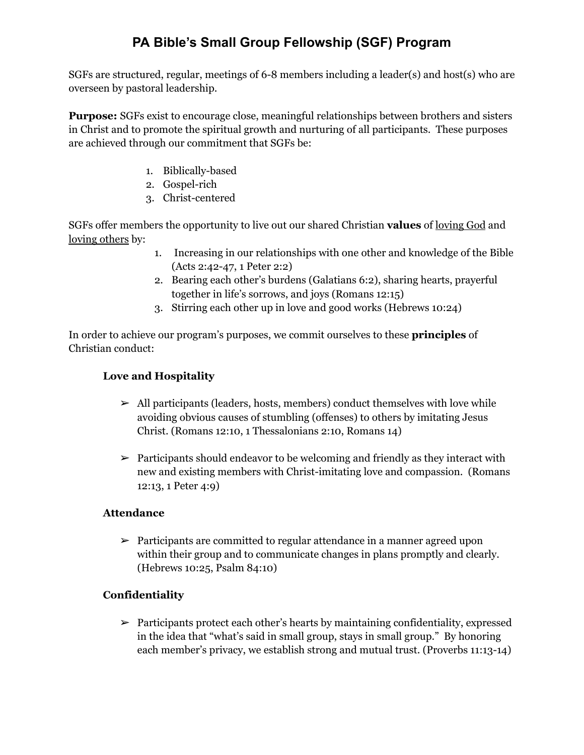# **PA Bible's Small Group Fellowship (SGF) Program**

SGFs are structured, regular, meetings of 6-8 members including a leader(s) and host(s) who are overseen by pastoral leadership.

**Purpose:** SGFs exist to encourage close, meaningful relationships between brothers and sisters in Christ and to promote the spiritual growth and nurturing of all participants. These purposes are achieved through our commitment that SGFs be:

- 1. Biblically-based
- 2. Gospel-rich
- 3. Christ-centered

SGFs offer members the opportunity to live out our shared Christian **values** of loving God and loving others by:

- 1. Increasing in our relationships with one other and knowledge of the Bible (Acts 2:42-47, 1 Peter 2:2)
- 2. Bearing each other's burdens (Galatians 6:2), sharing hearts, prayerful together in life's sorrows, and joys (Romans 12:15)
- 3. Stirring each other up in love and good works (Hebrews 10:24)

In order to achieve our program's purposes, we commit ourselves to these **principles** of Christian conduct:

#### **Love and Hospitality**

- $\triangleright$  All participants (leaders, hosts, members) conduct themselves with love while avoiding obvious causes of stumbling (offenses) to others by imitating Jesus Christ. (Romans 12:10, 1 Thessalonians 2:10, Romans 14)
- $\triangleright$  Participants should endeavor to be welcoming and friendly as they interact with new and existing members with Christ-imitating love and compassion. (Romans 12:13, 1 Peter 4:9)

#### **Attendance**

 $\geq$  Participants are committed to regular attendance in a manner agreed upon within their group and to communicate changes in plans promptly and clearly. (Hebrews 10:25, Psalm 84:10)

### **Confidentiality**

 $\triangleright$  Participants protect each other's hearts by maintaining confidentiality, expressed in the idea that "what's said in small group, stays in small group." By honoring each member's privacy, we establish strong and mutual trust. (Proverbs 11:13-14)